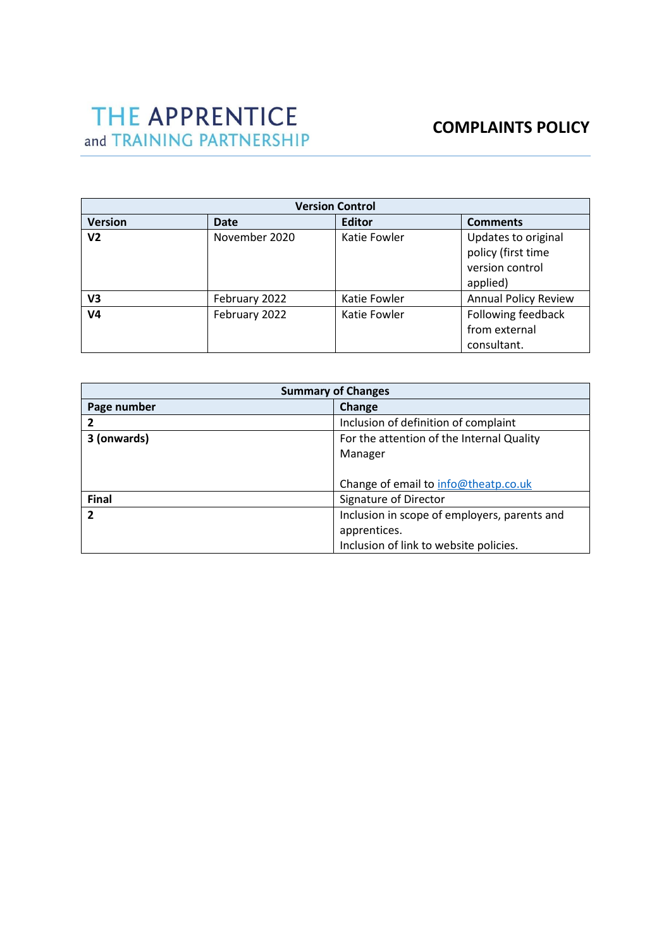| <b>Version Control</b> |               |               |                                                                          |  |
|------------------------|---------------|---------------|--------------------------------------------------------------------------|--|
| <b>Version</b>         | <b>Date</b>   | <b>Editor</b> | <b>Comments</b>                                                          |  |
| V <sub>2</sub>         | November 2020 | Katie Fowler  | Updates to original<br>policy (first time<br>version control<br>applied) |  |
| V3                     | February 2022 | Katie Fowler  | <b>Annual Policy Review</b>                                              |  |
| V <sub>4</sub>         | February 2022 | Katie Fowler  | Following feedback<br>from external<br>consultant.                       |  |

| <b>Summary of Changes</b>                                |                                              |  |
|----------------------------------------------------------|----------------------------------------------|--|
| Page number                                              | Change                                       |  |
| 2                                                        | Inclusion of definition of complaint         |  |
| For the attention of the Internal Quality<br>3 (onwards) |                                              |  |
|                                                          | Manager                                      |  |
|                                                          |                                              |  |
|                                                          | Change of email to info@theatp.co.uk         |  |
| <b>Final</b>                                             | Signature of Director                        |  |
| $\overline{2}$                                           | Inclusion in scope of employers, parents and |  |
|                                                          | apprentices.                                 |  |
|                                                          | Inclusion of link to website policies.       |  |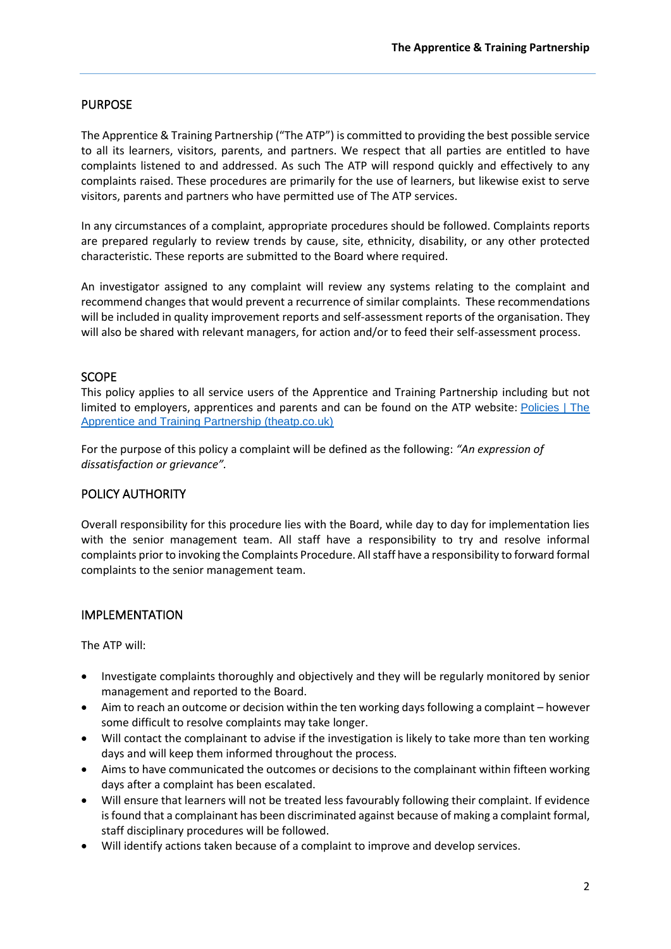# PURPOSE

The Apprentice & Training Partnership ("The ATP") is committed to providing the best possible service to all its learners, visitors, parents, and partners. We respect that all parties are entitled to have complaints listened to and addressed. As such The ATP will respond quickly and effectively to any complaints raised. These procedures are primarily for the use of learners, but likewise exist to serve visitors, parents and partners who have permitted use of The ATP services.

In any circumstances of a complaint, appropriate procedures should be followed. Complaints reports are prepared regularly to review trends by cause, site, ethnicity, disability, or any other protected characteristic. These reports are submitted to the Board where required.

An investigator assigned to any complaint will review any systems relating to the complaint and recommend changes that would prevent a recurrence of similar complaints. These recommendations will be included in quality improvement reports and self-assessment reports of the organisation. They will also be shared with relevant managers, for action and/or to feed their self-assessment process.

# **SCOPE**

This policy applies to all service users of the Apprentice and Training Partnership including but not limited to employers, apprentices and parents and can be found on the ATP website: [Policies | The](https://www.theatp.co.uk/policies/)  [Apprentice and Training Partnership \(theatp.co.uk\)](https://www.theatp.co.uk/policies/)

For the purpose of this policy a complaint will be defined as the following: *"An expression of dissatisfaction or grievance".* 

#### POLICY AUTHORITY

Overall responsibility for this procedure lies with the Board, while day to day for implementation lies with the senior management team. All staff have a responsibility to try and resolve informal complaints prior to invoking the Complaints Procedure. All staff have a responsibility to forward formal complaints to the senior management team.

#### IMPLEMENTATION

The ATP will:

- Investigate complaints thoroughly and objectively and they will be regularly monitored by senior management and reported to the Board.
- Aim to reach an outcome or decision within the ten working days following a complaint however some difficult to resolve complaints may take longer.
- Will contact the complainant to advise if the investigation is likely to take more than ten working days and will keep them informed throughout the process.
- Aims to have communicated the outcomes or decisions to the complainant within fifteen working days after a complaint has been escalated.
- Will ensure that learners will not be treated less favourably following their complaint. If evidence is found that a complainant has been discriminated against because of making a complaint formal, staff disciplinary procedures will be followed.
- Will identify actions taken because of a complaint to improve and develop services.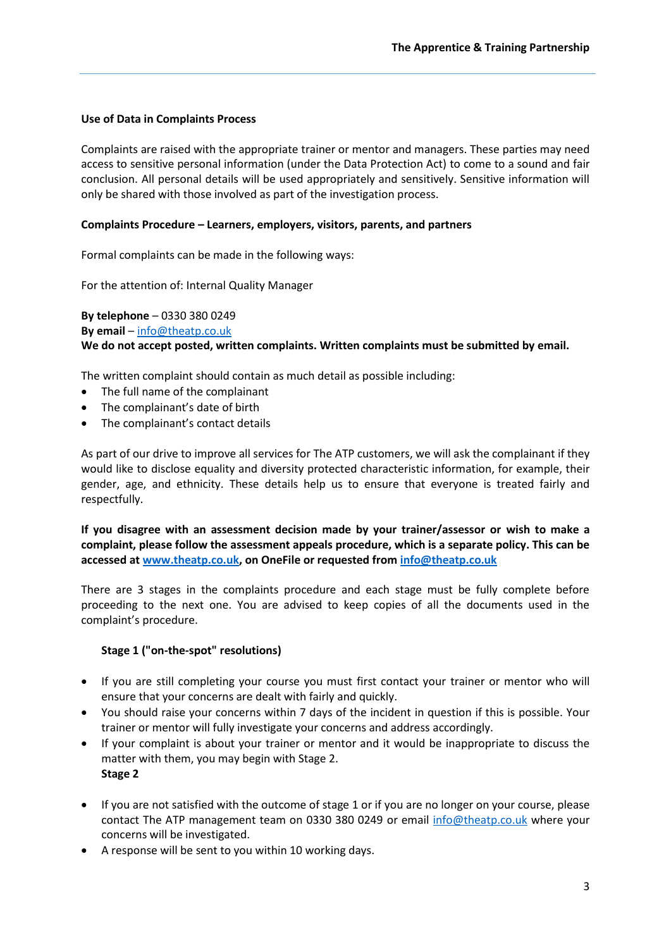#### **Use of Data in Complaints Process**

Complaints are raised with the appropriate trainer or mentor and managers. These parties may need access to sensitive personal information (under the Data Protection Act) to come to a sound and fair conclusion. All personal details will be used appropriately and sensitively. Sensitive information will only be shared with those involved as part of the investigation process.

#### **Complaints Procedure – Learners, employers, visitors, parents, and partners**

Formal complaints can be made in the following ways:

For the attention of: Internal Quality Manager

**By telephone** – 0330 380 0249 **By email** – [info@theatp.co.uk](mailto:info@theatp.co.uk) **We do not accept posted, written complaints. Written complaints must be submitted by email.** 

The written complaint should contain as much detail as possible including:

- The full name of the complainant
- The complainant's date of birth
- The complainant's contact details

As part of our drive to improve all services for The ATP customers, we will ask the complainant if they would like to disclose equality and diversity protected characteristic information, for example, their gender, age, and ethnicity. These details help us to ensure that everyone is treated fairly and respectfully.

**If you disagree with an assessment decision made by your trainer/assessor or wish to make a complaint, please follow the assessment appeals procedure, which is a separate policy. This can be accessed a[t www.theatp.co.uk,](http://www.theatp.co.uk/) on OneFile or requested from [info@theatp.co.uk](mailto:info@theatp.co.uk)**

There are 3 stages in the complaints procedure and each stage must be fully complete before proceeding to the next one. You are advised to keep copies of all the documents used in the complaint's procedure.

#### **Stage 1 ("on-the-spot" resolutions)**

- If you are still completing your course you must first contact your trainer or mentor who will ensure that your concerns are dealt with fairly and quickly.
- You should raise your concerns within 7 days of the incident in question if this is possible. Your trainer or mentor will fully investigate your concerns and address accordingly.
- If your complaint is about your trainer or mentor and it would be inappropriate to discuss the matter with them, you may begin with Stage 2. **Stage 2**
- If you are not satisfied with the outcome of stage 1 or if you are no longer on your course, please contact The ATP management team on 0330 380 0249 or email info@theatp.co.uk where your concerns will be investigated.
- A response will be sent to you within 10 working days.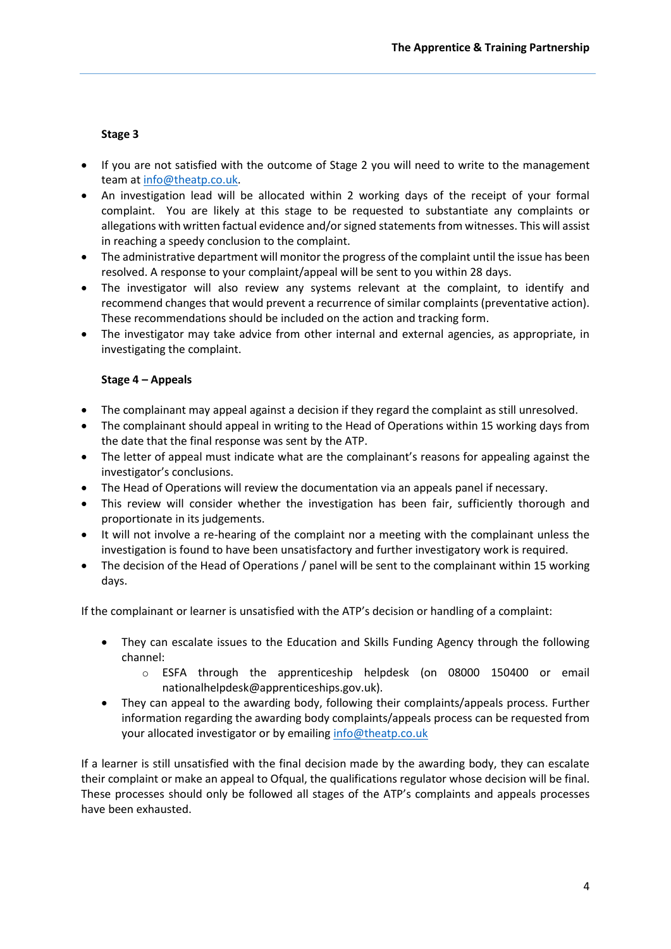### **Stage 3**

- If you are not satisfied with the outcome of Stage 2 you will need to write to the management team at info@theatp.co.uk.
- An investigation lead will be allocated within 2 working days of the receipt of your formal complaint. You are likely at this stage to be requested to substantiate any complaints or allegations with written factual evidence and/or signed statements from witnesses. This will assist in reaching a speedy conclusion to the complaint.
- The administrative department will monitor the progress of the complaint until the issue has been resolved. A response to your complaint/appeal will be sent to you within 28 days.
- The investigator will also review any systems relevant at the complaint, to identify and recommend changes that would prevent a recurrence of similar complaints (preventative action). These recommendations should be included on the action and tracking form.
- The investigator may take advice from other internal and external agencies, as appropriate, in investigating the complaint.

#### **Stage 4 – Appeals**

- The complainant may appeal against a decision if they regard the complaint as still unresolved.
- The complainant should appeal in writing to the Head of Operations within 15 working days from the date that the final response was sent by the ATP.
- The letter of appeal must indicate what are the complainant's reasons for appealing against the investigator's conclusions.
- The Head of Operations will review the documentation via an appeals panel if necessary.
- This review will consider whether the investigation has been fair, sufficiently thorough and proportionate in its judgements.
- It will not involve a re-hearing of the complaint nor a meeting with the complainant unless the investigation is found to have been unsatisfactory and further investigatory work is required.
- The decision of the Head of Operations / panel will be sent to the complainant within 15 working days.

If the complainant or learner is unsatisfied with the ATP's decision or handling of a complaint:

- They can escalate issues to the Education and Skills Funding Agency through the following channel:
	- $\circ$  ESFA through the apprenticeship helpdesk (on 08000 150400 or email nationalhelpdesk@apprenticeships.gov.uk).
- They can appeal to the awarding body, following their complaints/appeals process. Further information regarding the awarding body complaints/appeals process can be requested from your allocated investigator or by emailing [info@theatp.co.uk](mailto:info@theatp.co.uk)

If a learner is still unsatisfied with the final decision made by the awarding body, they can escalate their complaint or make an appeal to Ofqual, the qualifications regulator whose decision will be final. These processes should only be followed all stages of the ATP's complaints and appeals processes have been exhausted.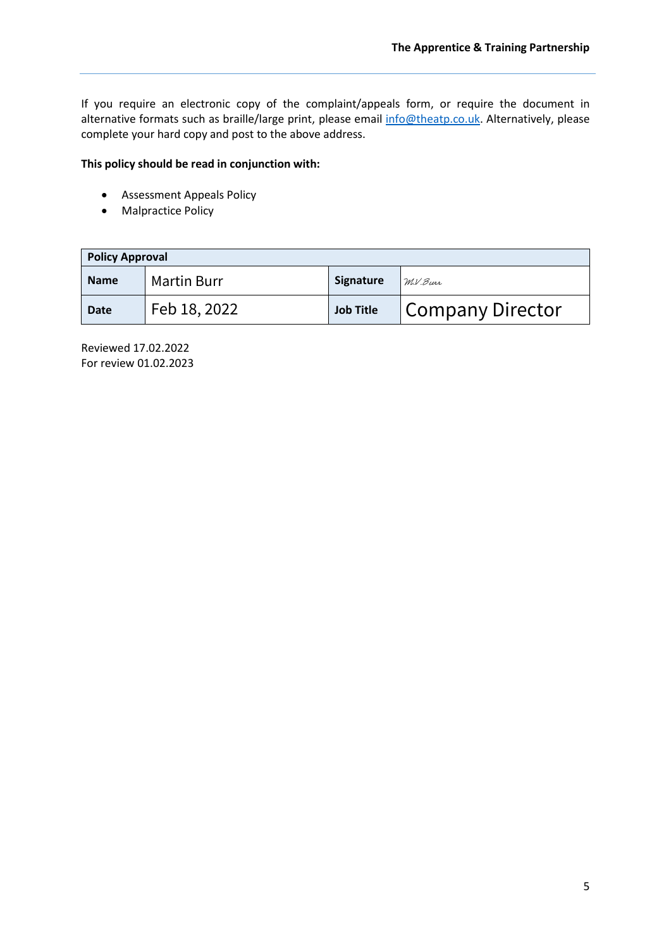If you require an electronic copy of the complaint/appeals form, or require the document in alternative formats such as braille/large print, please email [info@theatp.co.uk.](mailto:info@theatp.co.uk) Alternatively, please complete your hard copy and post to the above address.

#### **This policy should be read in conjunction with:**

- Assessment Appeals Policy
- Malpractice Policy

| <b>Policy Approval</b> |                    |                  |                         |  |
|------------------------|--------------------|------------------|-------------------------|--|
| <b>Name</b>            | <b>Martin Burr</b> | <b>Signature</b> | M.V.Burr                |  |
| <b>Date</b>            | Feb 18, 2022       | <b>Job Title</b> | <b>Company Director</b> |  |

Reviewed 17.02.2022 For review 01.02.2023